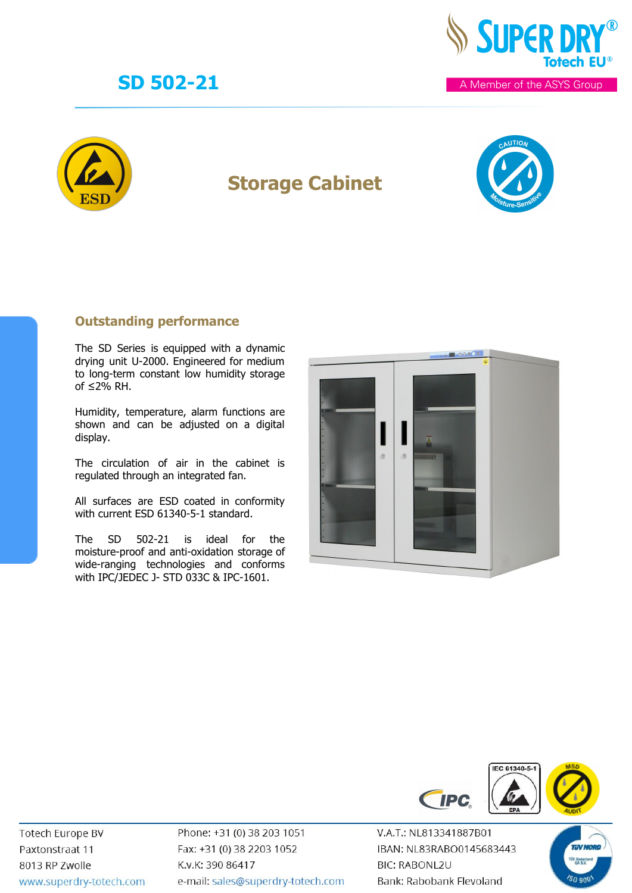



## **Storage Cabinet**



### **Outstanding performance**

The SD Series is equipped with a dynamic drying unit U-2000. Engineered for medium to long-term constant low humidity storage of  $≤2%$  RH.

Humidity, temperature, alarm functions are shown and can be adjusted on a digital display.

The circulation of air in the cabinet is regulated through an integrated fan.

All surfaces are ESD coated in conformity with current ESD 61340-5-1 standard.

The SD 502-21 is ideal for the moisture-proof and anti-oxidation storage of wide-ranging technologies and conforms with IPC/JEDEC J- STD 033C & IPC-1601.





**Totech Europe BV** Paxtonstraat 11 8013 RP Zwolle www.superdry-totech.com Phone: +31 (0) 38 203 1051 Fax: +31 (0) 38 2203 1052 K.v.K: 390 86417 e-mail: sales@superdry-totech.com

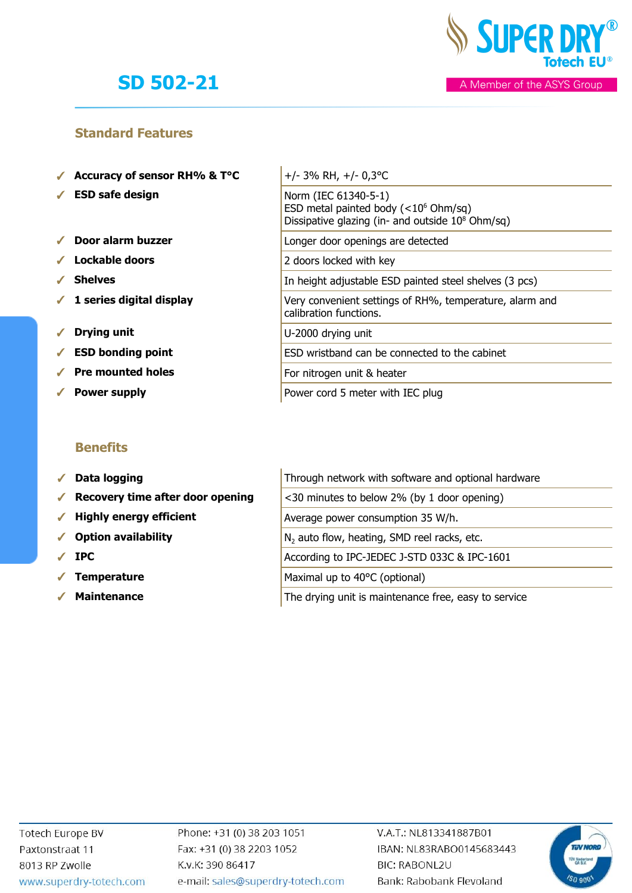

### **Standard Features**

- ✓ **Accuracy of sensor RH% & T°C** +/- 3% RH, +/- 0,3°C
- ✓ **ESD safe design** Norm (IEC 61340-5-1)
- ✓ **Door alarm buzzer** Longer door openings are detected
- ✓ **Lockable doors** 2 doors locked with key
- 
- ✔ 1 series digital display
- ✓ **Drying unit** U-2000 drying unit
- ✔ **ESD** bonding point
- ✓ **Pre mounted holes** For nitrogen unit & heater
- ✔ Power supply **Power supply** Power co

### **Benefits**

- √ Data logging
- ◆ Recovery time after door opening
- ◆ Highly energy efficient
- √ Option availability
- 
- **Temperature**
- 

|            | Accuracy of sensor RH% & $T^{\circ}C$ | $+/-$ 3% RH, $+/-$ 0,3 °C                                                                                                       |
|------------|---------------------------------------|---------------------------------------------------------------------------------------------------------------------------------|
|            | $\checkmark$ ESD safe design          | Norm (IEC 61340-5-1)<br>ESD metal painted body $(<10^6$ Ohm/sq)<br>Dissipative glazing (in- and outside 10 <sup>8</sup> Ohm/sq) |
|            | $\checkmark$ Door alarm buzzer        | Longer door openings are detected                                                                                               |
|            | $\checkmark$ Lockable doors           | 2 doors locked with key                                                                                                         |
|            | $\sqrt{\phantom{a}}$ Shelves          | In height adjustable ESD painted steel shelves (3 pcs)                                                                          |
|            | $\checkmark$ 1 series digital display | Very convenient settings of RH%, temperature, alarm and<br>calibration functions.                                               |
| $\sqrt{2}$ | <b>Drying unit</b>                    | U-2000 drying unit                                                                                                              |
|            | $\checkmark$ ESD bonding point        | ESD wristband can be connected to the cabinet                                                                                   |
|            | $\checkmark$ Pre mounted holes        | For nitrogen unit & heater                                                                                                      |
|            | ✓ Power supply                        | Power cord 5 meter with IEC plug                                                                                                |

|            | $\checkmark$ Data logging                             | Through network with software and optional hardware     |
|------------|-------------------------------------------------------|---------------------------------------------------------|
|            | $\sqrt{\phantom{a}}$ Recovery time after door opening | <30 minutes to below 2% (by 1 door opening)             |
|            | $\checkmark$ Highly energy efficient                  | Average power consumption 35 W/h.                       |
|            | ✔ Option availability                                 | N <sub>2</sub> auto flow, heating, SMD reel racks, etc. |
|            | $\sqrt{P}$ IPC                                        | According to IPC-JEDEC J-STD 033C & IPC-1601            |
| $\sqrt{2}$ | <b>Temperature</b>                                    | Maximal up to 40°C (optional)                           |

**■ Maintenance** The drying unit is maintenance free, easy to service

Phone: +31 (0) 38 203 1051 Fax: +31 (0) 38 2203 1052 K.v.K: 390 86417 e-mail: sales@superdry-totech.com

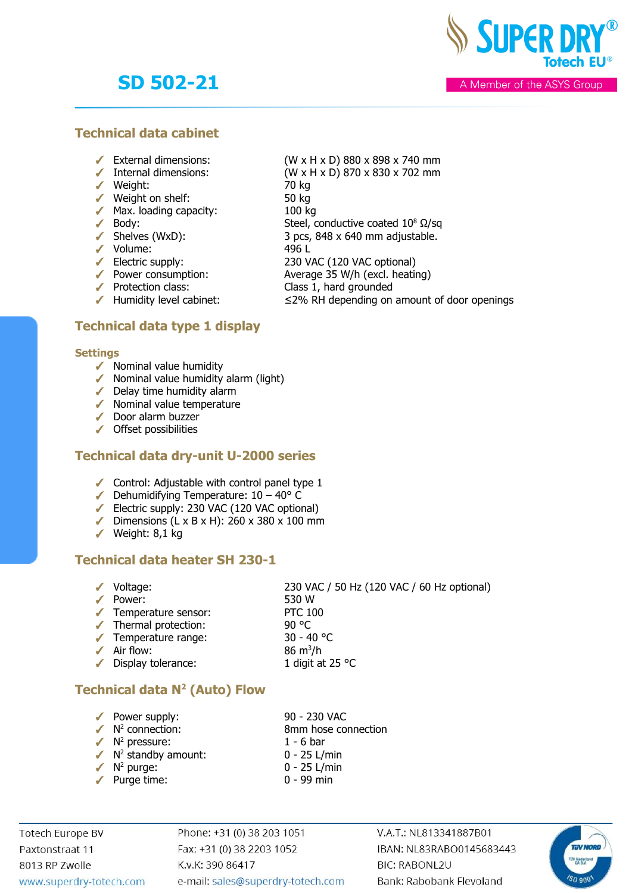**SUPER DR** 

A Member of the ASYS Group

### **Technical data cabinet**

- 
- 
- ✓ Weight: 70 kg
- ✓ Weight on shelf: 50 kg
- ✓ Max. loading capacity: 100 kg
- $\sqrt{\phantom{a}}$  Body: Steel, conductive coated 10<sup>8</sup>  $\Omega$ /sq
- $\checkmark$  Shelves (WxD): 3 pcs, 848 x 640 mm adjustable.
- 
- 
- SHERES (WAD).<br>
→ Volume: 496 L<br>
→ Electric supply: 230 V.<br>
→ Power consumption: Avera ✓ Power consumption: Average 35 W/h (excl. heating)
- 
- $\blacktriangleright$  Humidity level cabinet:  $\leq$  2% RH depending on amount of door openings

### **Technical data type 1 display**

#### **Settings**

- $\checkmark$  Nominal value humidity
- ✓ Nominal value humidity alarm (light)
- ✓ Delay time humidity alarm
- ✓ Nominal value temperature
- ✓ Door alarm buzzer
- ✓ Offset possibilities

#### **Technical data dry-unit U-2000 series**

- ✓ Control: Adjustable with control panel type 1
- $\blacktriangleright$  Dehumidifying Temperature:  $10 40^{\circ}$  C
- ✓ Electric supply: 230 VAC (120 VAC optional)
- ✓ Dimensions (L x B x H): 260 x 380 x 100 mm
- ✓ Weight: 8,1 kg

### **Technical data heater SH 230-1**

✓ Voltage: 230 VAC / 50 Hz (120 VAC / 60 Hz optional) ✓ Power: 530 W ✓ Temperature sensor: PTC 100 ✓ Thermal protection: 90 °C ✓ Temperature range: 30 - 40 °C  $\angle$  Air flow: 86 m<sup>3</sup>/h ✓ Display tolerance: 1 digit at 25 °C

### **Technical data N<sup>2</sup> (Auto) Flow**

- ✓ Power supply: 90 230 VAC  $\sqrt{N^2}$  connection: 8mm hose connection
- $\sqrt{N^2}$  pressure: 1 6 bar
- 
- $\checkmark$  N<sup>2</sup> purge:
- 

 $(W \times H \times D)$  870  $\times$  830  $\times$  702 mm

230 VAC (120 VAC optional)

Class 1, hard grounded

- 
- $\sqrt{N^2}$  standby amount:  $0 25$  L/min
	-
	-
- 0 25 L/min
- ✓ Purge time: 0 99 min

**Totech Europe BV** Paxtonstraat 11 8013 RP Zwolle www.superdry-totech.com Phone: +31 (0) 38 203 1051 Fax: +31 (0) 38 2203 1052 K.v.K: 390 86417 e-mail: sales@superdry-totech.com

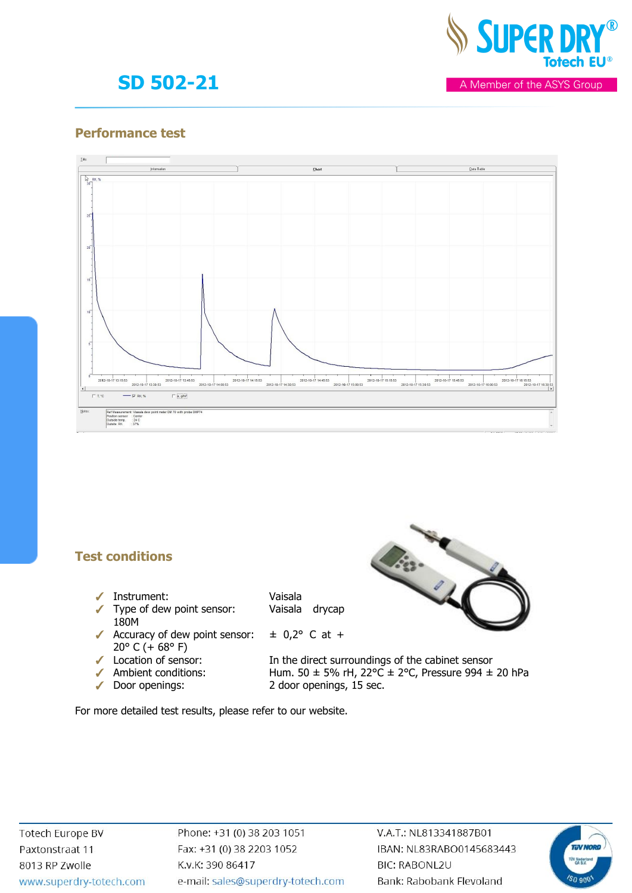

A Member of the ASYS Group

### **Performance test**



### **Test conditions**

- ✓ Instrument: Vaisala
- ✓ Type of dew point sensor: Vaisala drycap 180M
- $\sqrt{}$  Accuracy of dew point sensor:  $\pm$  0,2° C at + 20 $\degree$  C (+68 $\degree$  F)
- 
- 
- 

110-110

✓ Location of sensor: In the direct surroundings of the cabinet sensor ◆ Ambient conditions: Hum. 50 ± 5% rH, 22°C ± 2°C, Pressure 994 ± 20 hPa ✓ Door openings: 2 door openings, 15 sec.

For more detailed test results, please refer to our website.

Phone: +31 (0) 38 203 1051 Fax: +31 (0) 38 2203 1052 K.v.K: 390 86417 e-mail: sales@superdry-totech.com

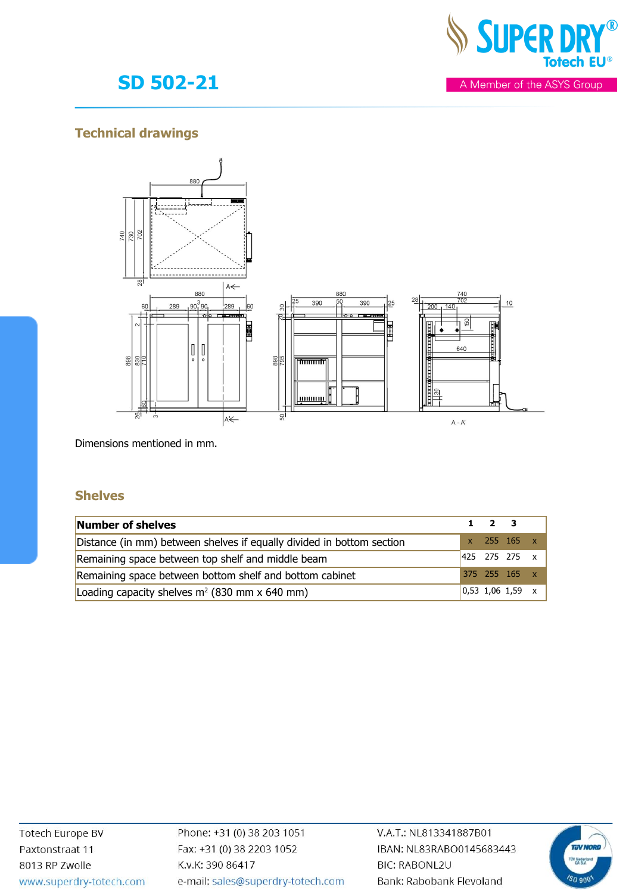

A Member of the ASYS Group

# **SD 502-21**

### **Technical drawings**



Dimensions mentioned in mm.

### **Shelves**

| Number of shelves                                                     | $1 \quad 2 \quad 3$ |                                                          |  |
|-----------------------------------------------------------------------|---------------------|----------------------------------------------------------|--|
| Distance (in mm) between shelves if equally divided in bottom section |                     | $x$ 255 165 $x$                                          |  |
| Remaining space between top shelf and middle beam                     |                     | $ 425 \t275 \t275 \t x$                                  |  |
| Remaining space between bottom shelf and bottom cabinet               |                     | 375 255 165 x                                            |  |
| Loading capacity shelves $m^2$ (830 mm x 640 mm)                      |                     | $\begin{array}{cccc} 0,53 & 1,06 & 1,59 & x \end{array}$ |  |

Phone: +31 (0) 38 203 1051 Fax: +31 (0) 38 2203 1052 K.v.K: 390 86417 e-mail: sales@superdry-totech.com

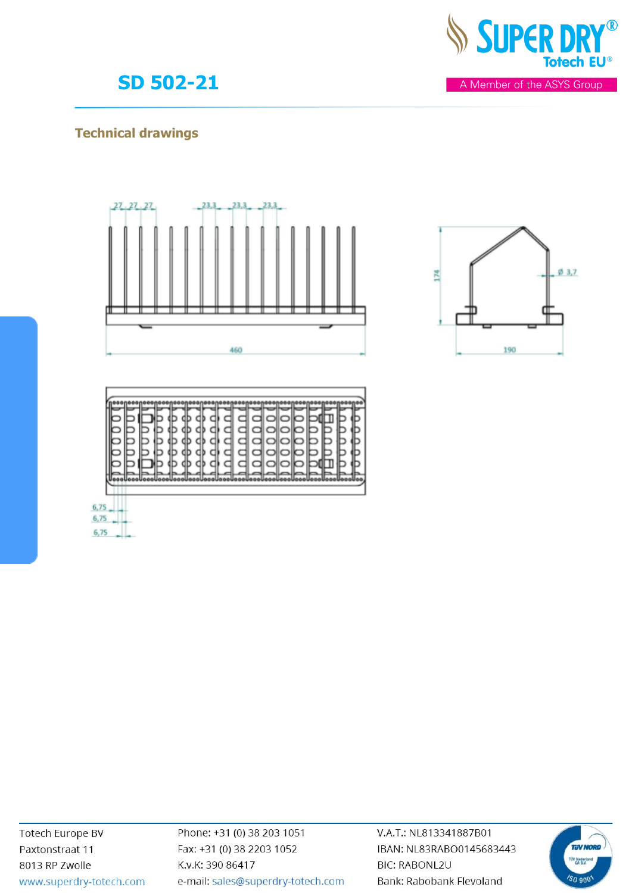

### **Technical drawings**







6,75  $6,75$  $6,75$ 

> Phone: +31 (0) 38 203 1051 Fax: +31 (0) 38 2203 1052 K.v.K: 390 86417 e-mail: sales@superdry-totech.com

V.A.T.: NL813341887B01 IBAN: NL83RABO0145683443 **BIC: RABONL2U** Bank: Rabobank Flevoland





A Member of the ASYS Group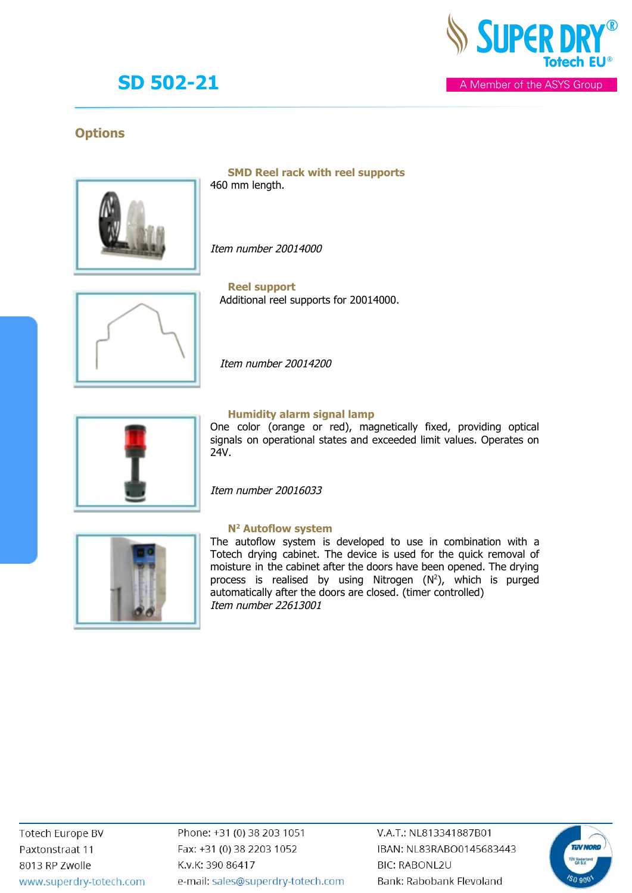

A Member of the ASYS Group

### **Options**



**SMD Reel rack with reel supports** 460 mm length.

Item number 20014000



**Reel support** Additional reel supports for 20014000.

Item number 20014200



#### **Humidity alarm signal lamp**

One color (orange or red), magnetically fixed, providing optical signals on operational states and exceeded limit values. Operates on 24V.

Item number 20016033



#### **N2 Autoflow system**

The autoflow system is developed to use in combination with a Totech drying cabinet. The device is used for the quick removal of moisture in the cabinet after the doors have been opened. The drying process is realised by using Nitrogen (N 2), which is purged automatically after the doors are closed. (timer controlled) Item number 22613001

**Totech Europe BV** Paxtonstraat 11 8013 RP Zwolle www.superdry-totech.com Phone: +31 (0) 38 203 1051 Fax: +31 (0) 38 2203 1052 K.v.K: 390 86417 e-mail: sales@superdry-totech.com